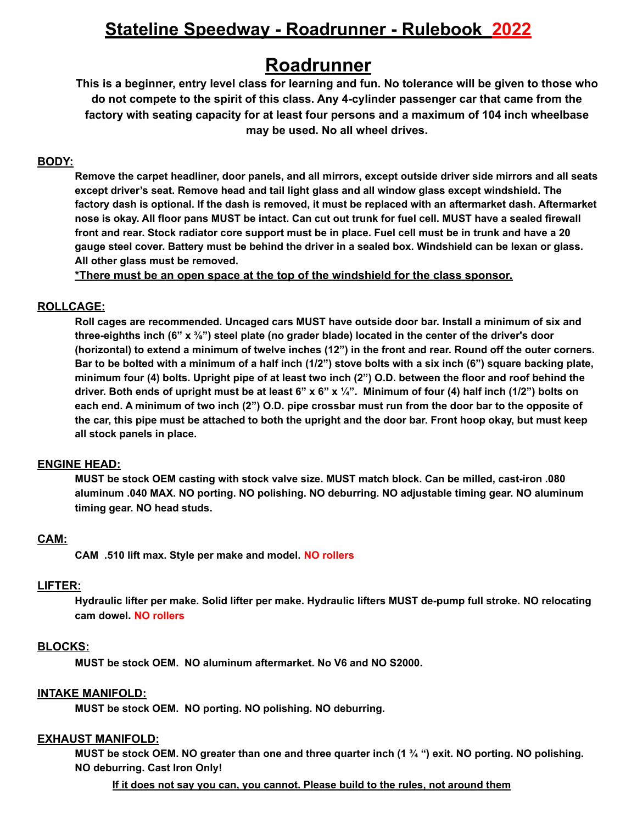# **Stateline Speedway - Roadrunner - Rulebook 2022**

# **Roadrunner**

This is a beginner, entry level class for learning and fun. No tolerance will be given to those who **do not compete to the spirit of this class. Any 4-cylinder passenger car that came from the factory with seating capacity for at least four persons and a maximum of 104 inch wheelbase may be used. No all wheel drives.**

# **BODY:**

Remove the carpet headliner, door panels, and all mirrors, except outside driver side mirrors and all seats **except driver's seat. Remove head and tail light glass and all window glass except windshield. The** factory dash is optional. If the dash is removed, it must be replaced with an aftermarket dash. Aftermarket nose is okay. All floor pans MUST be intact. Can cut out trunk for fuel cell. MUST have a sealed firewall front and rear. Stock radiator core support must be in place. Fuel cell must be in trunk and have a 20 gauge steel cover. Battery must be behind the driver in a sealed box. Windshield can be lexan or glass. **All other glass must be removed.**

**\*There must be an open space at the top of the windshield for the class sponsor.**

# **ROLLCAGE:**

**Roll cages are recommended. Uncaged cars MUST have outside door bar. Install a minimum of six and** three-eighths inch (6"  $x \frac{3}{8}$ ") steel plate (no grader blade) located in the center of the driver's door (horizontal) to extend a minimum of twelve inches (12") in the front and rear. Round off the outer corners. Bar to be bolted with a minimum of a half inch (1/2") stove bolts with a six inch (6") square backing plate, minimum four (4) bolts. Upright pipe of at least two inch (2") O.D. between the floor and roof behind the driver. Both ends of upright must be at least 6" x 6" x  $\frac{1}{4}$ ". Minimum of four (4) half inch (1/2") bolts on each end. A minimum of two inch (2") O.D. pipe crossbar must run from the door bar to the opposite of the car, this pipe must be attached to both the upright and the door bar. Front hoop okay, but must keep **all stock panels in place.**

# **ENGINE HEAD:**

**MUST be stock OEM casting with stock valve size. MUST match block. Can be milled, cast-iron .080 aluminum .040 MAX. NO porting. NO polishing. NO deburring. NO adjustable timing gear. NO aluminum timing gear. NO head studs.**

# **CAM:**

**CAM .510 lift max. Style per make and model. NO rollers**

# **LIFTER:**

**Hydraulic lifter per make. Solid lifter per make. Hydraulic lifters MUST de-pump full stroke. NO relocating cam dowel. NO rollers**

# **BLOCKS:**

**MUST be stock OEM. NO aluminum aftermarket. No V6 and NO S2000.**

# **INTAKE MANIFOLD:**

**MUST be stock OEM. NO porting. NO polishing. NO deburring.**

# **EXHAUST MANIFOLD:**

MUST be stock OEM. NO greater than one and three quarter inch (1 % ") exit. NO porting. NO polishing. **NO deburring. Cast Iron Only!**

**If it does not say you can, you cannot. Please build to the rules, not around them**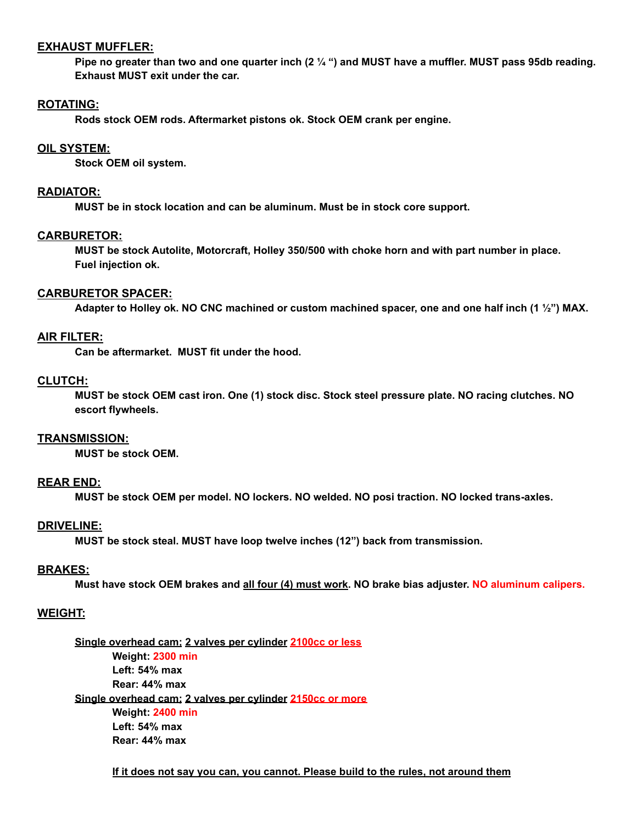## **EXHAUST MUFFLER:**

Pipe no greater than two and one quarter inch (2  $\frac{1}{4}$  ") and MUST have a muffler. MUST pass 95db reading. **Exhaust MUST exit under the car.**

## **ROTATING:**

**Rods stock OEM rods. Aftermarket pistons ok. Stock OEM crank per engine.**

## **OIL SYSTEM:**

**Stock OEM oil system.**

## **RADIATOR:**

**MUST be in stock location and can be aluminum. Must be in stock core support.**

## **CARBURETOR:**

**MUST be stock Autolite, Motorcraft, Holley 350/500 with choke horn and with part number in place. Fuel injection ok.**

## **CARBURETOR SPACER:**

Adapter to Holley ok. NO CNC machined or custom machined spacer, one and one half inch (1 1/2") MAX.

# **AIR FILTER:**

**Can be aftermarket. MUST fit under the hood.**

# **CLUTCH:**

MUST be stock OEM cast iron. One (1) stock disc. Stock steel pressure plate. NO racing clutches. NO **escort flywheels.**

#### **TRANSMISSION:**

**MUST be stock OEM.**

# **REAR END:**

**MUST be stock OEM per model. NO lockers. NO welded. NO posi traction. NO locked trans-axles.**

## **DRIVELINE:**

**MUST be stock steal. MUST have loop twelve inches (12") back from transmission.**

# **BRAKES:**

Must have stock OEM brakes and all four (4) must work. NO brake bias adjuster. NO aluminum calipers.

# **WEIGHT:**

**Single overhead cam; 2 valves per cylinder 2100cc or less Weight: 2300 min Left: 54% max Rear: 44% max Single overhead cam; 2 valves per cylinder 2150cc or more Weight: 2400 min Left: 54% max Rear: 44% max**

#### **If it does not say you can, you cannot. Please build to the rules, not around them**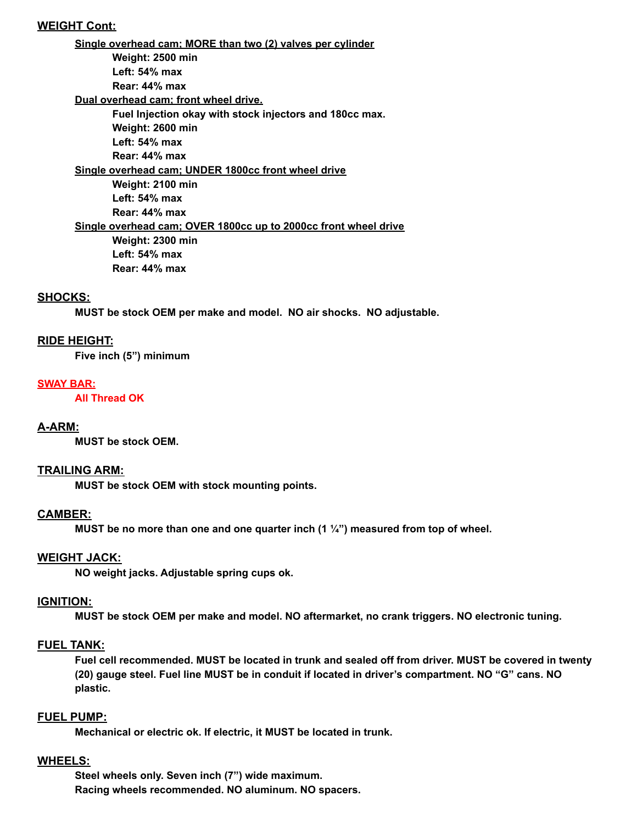# **WEIGHT Cont:**

**Single overhead cam; MORE than two (2) valves per cylinder Weight: 2500 min Left: 54% max Rear: 44% max Dual overhead cam; front wheel drive. Fuel Injection okay with stock injectors and 180cc max. Weight: 2600 min Left: 54% max Rear: 44% max Single overhead cam; UNDER 1800cc front wheel drive Weight: 2100 min Left: 54% max Rear: 44% max Single overhead cam; OVER 1800cc up to 2000cc front wheel drive Weight: 2300 min Left: 54% max Rear: 44% max**

# **SHOCKS:**

**MUST be stock OEM per make and model. NO air shocks. NO adjustable.**

## **RIDE HEIGHT:**

**Five inch (5") minimum**

#### **SWAY BAR:**

**All Thread OK**

#### **A-ARM:**

**MUST be stock OEM.**

#### **TRAILING ARM:**

**MUST be stock OEM with stock mounting points.**

#### **CAMBER:**

**MUST be no more than one and one quarter inch (1 ¼") measured from top of wheel.**

#### **WEIGHT JACK:**

**NO weight jacks. Adjustable spring cups ok.**

#### **IGNITION:**

**MUST be stock OEM per make and model. NO aftermarket, no crank triggers. NO electronic tuning.**

#### **FUEL TANK:**

Fuel cell recommended. MUST be located in trunk and sealed off from driver. MUST be covered in twenty **(20) gauge steel. Fuel line MUST be in conduit if located in driver's compartment. NO "G" cans. NO plastic.**

#### **FUEL PUMP:**

**Mechanical or electric ok. If electric, it MUST be located in trunk.**

#### **WHEELS:**

**Steel wheels only. Seven inch (7") wide maximum. Racing wheels recommended. NO aluminum. NO spacers.**